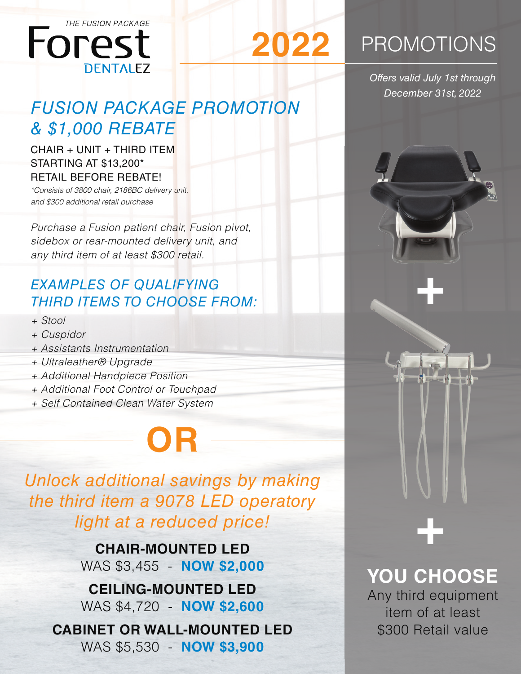

### *FUSION PACKAGE PROMOTION & \$1,000 REBATE*

**2022**

CHAIR + UNIT + THIRD ITEM STARTING AT \$13,200\* RETAIL BEFORE REBATE!

*\*Consists of 3800 chair, 2186BC delivery unit, and \$300 additional retail purchase*

*Purchase a Fusion patient chair, Fusion pivot, sidebox or rear-mounted delivery unit, and any third item of at least \$300 retail.*

### *EXAMPLES OF QUALIFYING THIRD ITEMS TO CHOOSE FROM:*

- *+ Stool*
- *+ Cuspidor*
- *+ Assistants Instrumentation*
- *+ Ultraleather® Upgrade*
- *+ Additional Handpiece Position*
- *+ Additional Foot Control or Touchpad*
- *+ Self Contained Clean Water System*

# **OR**

*Unlock additional savings by making the third item a 9078 LED operatory light at a reduced price!*

> **CHAIR-MOUNTED LED** WAS \$3,455 - **NOW \$2,000**

> **CEILING-MOUNTED LED** WAS \$4,720 - **NOW \$2,600**

**CABINET OR WALL-MOUNTED LED** WAS \$5,530 - **NOW \$3,900**

### **PROMOTIONS**

*Offers valid July 1st through December 31st, 2022*

**+**

## **YOU CHOOSE**

**+**

Any third equipment item of at least \$300 Retail value